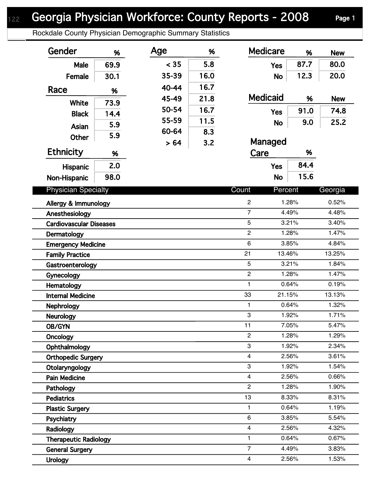Rockdale County Physician Demographic Summary Statistics

| Gender                                           | %    | Age   | %    | <b>Medicare</b>                  | %              | <b>New</b>     |
|--------------------------------------------------|------|-------|------|----------------------------------|----------------|----------------|
| Male                                             | 69.9 | < 35  | 5.8  | <b>Yes</b>                       | 87.7           | 80.0           |
| Female                                           | 30.1 | 35-39 | 16.0 | <b>No</b>                        | 12.3           | 20.0           |
| Race                                             |      | 40-44 | 16.7 |                                  |                |                |
|                                                  | %    | 45-49 | 21.8 | <b>Medicaid</b>                  | %              | <b>New</b>     |
| White                                            | 73.9 | 50-54 | 16.7 | <b>Yes</b>                       | 91.0           | 74.8           |
| <b>Black</b>                                     | 14.4 | 55-59 | 11.5 |                                  | 9.0            | 25.2           |
| Asian                                            | 5.9  | 60-64 | 8.3  | <b>No</b>                        |                |                |
| <b>Other</b>                                     | 5.9  | > 64  | 3.2  | Managed                          |                |                |
| <b>Ethnicity</b>                                 | %    |       |      | Care                             | %              |                |
| <b>Hispanic</b>                                  | 2.0  |       |      | <b>Yes</b>                       | 84.4           |                |
| Non-Hispanic                                     | 98.0 |       |      | <b>No</b>                        | 15.6           |                |
| <b>Physician Specialty</b>                       |      |       |      | Count<br>Percent                 |                | Georgia        |
|                                                  |      |       |      |                                  |                |                |
| Allergy & Immunology                             |      |       |      | $\overline{c}$<br>$\overline{7}$ | 1.28%<br>4.49% | 0.52%<br>4.48% |
| Anesthesiology<br><b>Cardiovascular Diseases</b> |      |       |      | $\overline{5}$                   | 3.21%          | 3.40%          |
| Dermatology                                      |      |       |      | $\overline{2}$                   | 1.28%          | 1.47%          |
| <b>Emergency Medicine</b>                        |      |       |      | $6\phantom{1}$                   | 3.85%          | 4.84%          |
| <b>Family Practice</b>                           |      |       |      | 21                               | 13.46%         | 13.25%         |
| Gastroenterology                                 |      |       |      | $\overline{5}$                   | 3.21%          | 1.84%          |
| Gynecology                                       |      |       |      | $\overline{c}$                   | 1.28%          | 1.47%          |
| Hematology                                       |      |       |      | 1                                | 0.64%          | 0.19%          |
| <b>Internal Medicine</b>                         |      |       |      | 33                               | 21.15%         | 13.13%         |
| <b>Nephrology</b>                                |      |       |      | 1                                | 0.64%          | 1.32%          |
| Neurology                                        |      |       |      | $\mathbf 3$                      | 1.92%          | 1.71%          |
| OB/GYN                                           |      |       |      | 11                               | 7.05%          | 5.47%          |
| Oncology                                         |      |       |      | $\mathbf{2}$                     | 1.28%          | 1.29%          |
| Ophthalmology                                    |      |       |      | 3                                | 1.92%          | 2.34%          |
| <b>Orthopedic Surgery</b>                        |      |       |      | $\overline{4}$                   | 2.56%          | 3.61%          |
| Otolaryngology                                   |      |       |      | 3                                | 1.92%          | 1.54%          |
| <b>Pain Medicine</b>                             |      |       |      | 4                                | 2.56%          | 0.66%          |
| Pathology                                        |      |       |      | $\overline{2}$                   | 1.28%          | 1.90%          |
| <b>Pediatrics</b>                                |      |       |      | 13                               | 8.33%          | 8.31%          |
| <b>Plastic Surgery</b>                           |      |       |      | 1                                | 0.64%          | 1.19%          |
| Psychiatry                                       |      |       |      | $\,6$                            | 3.85%          | 5.54%          |
| Radiology                                        |      |       |      | $\overline{4}$                   | 2.56%          | 4.32%          |
| <b>Therapeutic Radiology</b>                     |      |       |      | 1                                | 0.64%          | 0.67%          |
| <b>General Surgery</b>                           |      |       |      | $\overline{7}$                   | 4.49%          | 3.83%          |
| <b>Urology</b>                                   |      |       |      | $\overline{4}$                   | 2.56%          | 1.53%          |